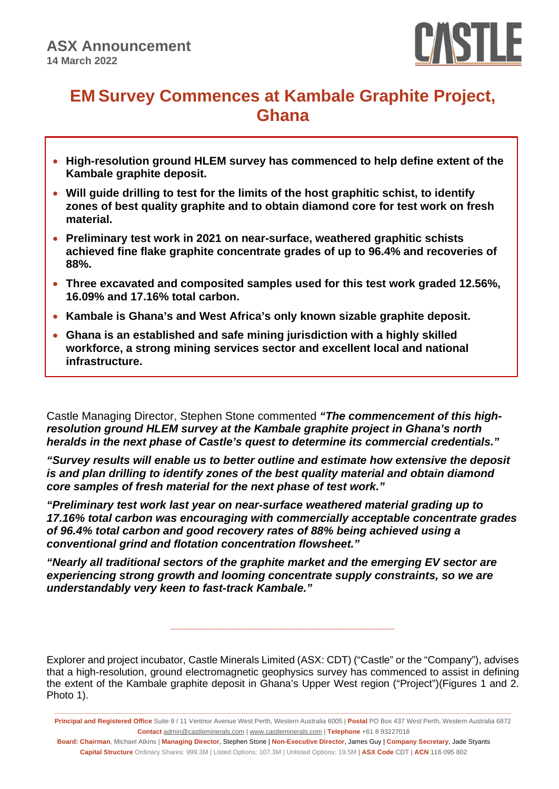

# **EM Survey Commences at Kambale Graphite Project, Ghana**

- **High-resolution ground HLEM survey has commenced to help define extent of the Kambale graphite deposit.**
- **Will guide drilling to test for the limits of the host graphitic schist, to identify zones of best quality graphite and to obtain diamond core for test work on fresh material.**
- **Preliminary test work in 2021 on near-surface, weathered graphitic schists achieved fine flake graphite concentrate grades of up to 96.4% and recoveries of 88%.**
- **Three excavated and composited samples used for this test work graded 12.56%, 16.09% and 17.16% total carbon.**
- **Kambale is Ghana's and West Africa's only known sizable graphite deposit.**
- **Ghana is an established and safe mining jurisdiction with a highly skilled workforce, a strong mining services sector and excellent local and national infrastructure.**

Castle Managing Director, Stephen Stone commented *"The commencement of this highresolution ground HLEM survey at the Kambale graphite project in Ghana's north heralds in the next phase of Castle's quest to determine its commercial credentials."*

*"Survey results will enable us to better outline and estimate how extensive the deposit is and plan drilling to identify zones of the best quality material and obtain diamond core samples of fresh material for the next phase of test work."*

*"Preliminary test work last year on near-surface weathered material grading up to 17.16% total carbon was encouraging with commercially acceptable concentrate grades of 96.4% total carbon and good recovery rates of 88% being achieved using a conventional grind and flotation concentration flowsheet."*

*"Nearly all traditional sectors of the graphite market and the emerging EV sector are experiencing strong growth and looming concentrate supply constraints, so we are understandably very keen to fast-track Kambale."*

Explorer and project incubator, Castle Minerals Limited (ASX: CDT) ("Castle" or the "Company"), advises that a high-resolution, ground electromagnetic geophysics survey has commenced to assist in defining the extent of the Kambale graphite deposit in Ghana's Upper West region ("Project")(Figures 1 and 2. Photo 1).

**\_\_\_\_\_\_\_\_\_\_\_\_\_\_\_\_\_\_\_\_\_\_\_\_\_\_\_\_\_\_\_\_\_\_\_\_\_\_\_**

**\_\_\_\_\_\_\_\_\_\_\_\_\_\_\_\_\_\_\_\_\_\_\_\_\_\_\_\_\_\_\_\_\_\_\_\_\_\_\_\_\_\_\_\_\_\_\_\_\_\_\_\_\_\_\_\_\_\_\_\_\_\_\_\_\_\_\_\_\_\_\_\_\_\_\_\_\_\_\_\_\_\_\_\_\_\_\_\_\_\_\_\_\_\_\_\_\_\_\_\_\_\_\_\_\_\_\_\_\_\_\_\_\_\_\_\_\_\_\_\_\_\_\_\_\_ Principal and Registered Office** Suite 9 / 11 Ventnor Avenue West Perth, Western Australia 6005 | **Postal** PO Box 437 West Perth, Western Australia 6872 **Contact** [admin@castleminerals.com](mailto:admin@castleminerals.com) [| www.castleminerals.com](http://www.castleminerals.com/) | **Telephone** +61 8 93227018

**Board: Chairman**, Michael Atkins | **Managing Director**, Stephen Stone | **Non-Executive Director**, James Guy | **Company Secretary**, Jade Styants **Capital Structure** Ordinary Shares: 999.3M | Listed Options: 107.3M | Unlisted Options: 19.5M | **ASX Code** CDT | **ACN** 116 095 802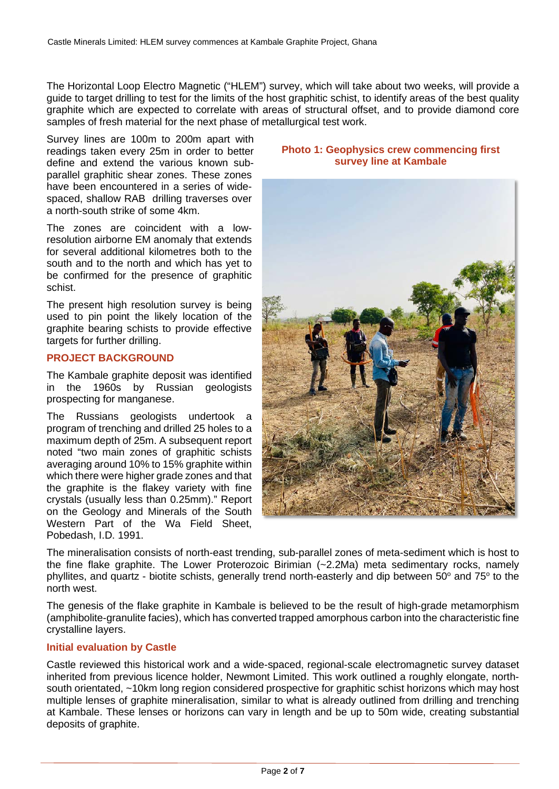The Horizontal Loop Electro Magnetic ("HLEM") survey, which will take about two weeks, will provide a guide to target drilling to test for the limits of the host graphitic schist, to identify areas of the best quality graphite which are expected to correlate with areas of structural offset, and to provide diamond core samples of fresh material for the next phase of metallurgical test work.

Survey lines are 100m to 200m apart with readings taken every 25m in order to better define and extend the various known subparallel graphitic shear zones. These zones have been encountered in a series of widespaced, shallow RAB drilling traverses over a north-south strike of some 4km.

The zones are coincident with a lowresolution airborne EM anomaly that extends for several additional kilometres both to the south and to the north and which has yet to be confirmed for the presence of graphitic schist.

The present high resolution survey is being used to pin point the likely location of the graphite bearing schists to provide effective targets for further drilling.

# **PROJECT BACKGROUND**

The Kambale graphite deposit was identified in the 1960s by Russian geologists prospecting for manganese.

The Russians geologists undertook a program of trenching and drilled 25 holes to a maximum depth of 25m. A subsequent report noted "two main zones of graphitic schists averaging around 10% to 15% graphite within which there were higher grade zones and that the graphite is the flakey variety with fine crystals (usually less than 0.25mm)." Report on the Geology and Minerals of the South Western Part of the Wa Field Sheet, Pobedash, I.D. 1991.

# **Photo 1: Geophysics crew commencing first survey line at Kambale**



The mineralisation consists of north-east trending, sub-parallel zones of meta-sediment which is host to the fine flake graphite. The Lower Proterozoic Birimian (~2.2Ma) meta sedimentary rocks, namely phyllites, and quartz - biotite schists, generally trend north-easterly and dip between 50° and 75° to the north west.

The genesis of the flake graphite in Kambale is believed to be the result of high-grade metamorphism (amphibolite-granulite facies), which has converted trapped amorphous carbon into the characteristic fine crystalline layers.

# **Initial evaluation by Castle**

Castle reviewed this historical work and a wide-spaced, regional-scale electromagnetic survey dataset inherited from previous licence holder, Newmont Limited. This work outlined a roughly elongate, northsouth orientated, ~10km long region considered prospective for graphitic schist horizons which may host multiple lenses of graphite mineralisation, similar to what is already outlined from drilling and trenching at Kambale. These lenses or horizons can vary in length and be up to 50m wide, creating substantial deposits of graphite.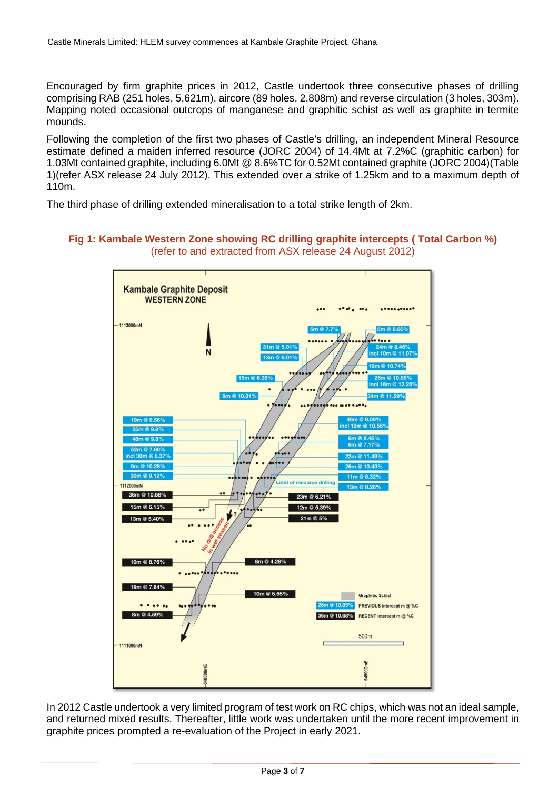Encouraged by firm graphite prices in 2012, Castle undertook three consecutive phases of drilling comprising RAB (251 holes, 5,621m), aircore (89 holes, 2,808m) and reverse circulation (3 holes, 303m). Mapping noted occasional outcrops of manganese and graphitic schist as well as graphite in termite mounds.

Following the completion of the first two phases of Castle's drilling, an independent Mineral Resource estimate defined a maiden inferred resource (JORC 2004) of 14.4Mt at 7.2%C (graphitic carbon) for 1.03Mt contained graphite, including 6.0Mt @ 8.6%TC for 0.52Mt contained graphite (JORC 2004)(Table 1)(refer ASX release 24 July 2012). This extended over a strike of 1.25km and to a maximum depth of 110m.

The third phase of drilling extended mineralisation to a total strike length of 2km.

# **Fig 1: Kambale Western Zone showing RC drilling graphite intercepts ( Total Carbon %)** (refer to and extracted from ASX release 24 August 2012)



In 2012 Castle undertook a very limited program of test work on RC chips, which was not an ideal sample, and returned mixed results. Thereafter, little work was undertaken until the more recent improvement in graphite prices prompted a re-evaluation of the Project in early 2021.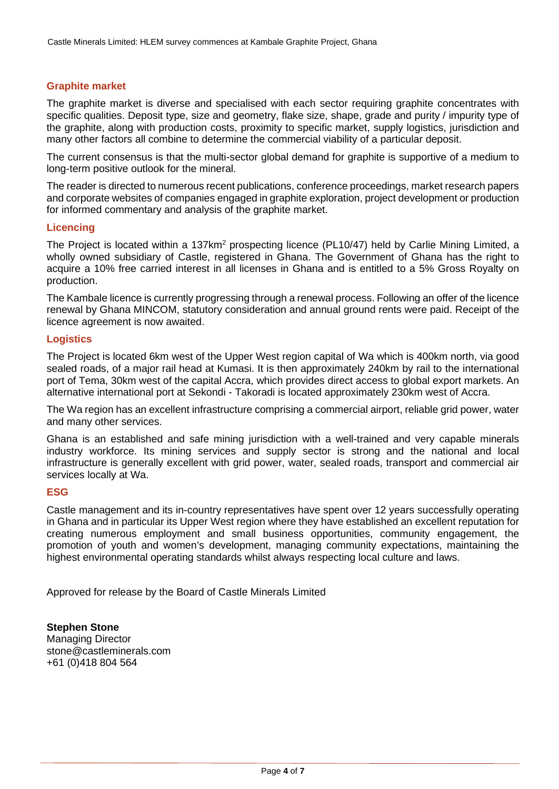#### **Graphite market**

The graphite market is diverse and specialised with each sector requiring graphite concentrates with specific qualities. Deposit type, size and geometry, flake size, shape, grade and purity / impurity type of the graphite, along with production costs, proximity to specific market, supply logistics, jurisdiction and many other factors all combine to determine the commercial viability of a particular deposit.

The current consensus is that the multi-sector global demand for graphite is supportive of a medium to long-term positive outlook for the mineral.

The reader is directed to numerous recent publications, conference proceedings, market research papers and corporate websites of companies engaged in graphite exploration, project development or production for informed commentary and analysis of the graphite market.

#### **Licencing**

The Project is located within a 137km<sup>2</sup> prospecting licence (PL10/47) held by Carlie Mining Limited, a wholly owned subsidiary of Castle, registered in Ghana. The Government of Ghana has the right to acquire a 10% free carried interest in all licenses in Ghana and is entitled to a 5% Gross Royalty on production.

The Kambale licence is currently progressing through a renewal process. Following an offer of the licence renewal by Ghana MINCOM, statutory consideration and annual ground rents were paid. Receipt of the licence agreement is now awaited.

#### **Logistics**

The Project is located 6km west of the Upper West region capital of Wa which is 400km north, via good sealed roads, of a major rail head at Kumasi. It is then approximately 240km by rail to the international port of Tema, 30km west of the capital Accra, which provides direct access to global export markets. An alternative international port at Sekondi - Takoradi is located approximately 230km west of Accra.

The Wa region has an excellent infrastructure comprising a commercial airport, reliable grid power, water and many other services.

Ghana is an established and safe mining jurisdiction with a well-trained and very capable minerals industry workforce. Its mining services and supply sector is strong and the national and local infrastructure is generally excellent with grid power, water, sealed roads, transport and commercial air services locally at Wa.

#### **ESG**

Castle management and its in-country representatives have spent over 12 years successfully operating in Ghana and in particular its Upper West region where they have established an excellent reputation for creating numerous employment and small business opportunities, community engagement, the promotion of youth and women's development, managing community expectations, maintaining the highest environmental operating standards whilst always respecting local culture and laws.

Approved for release by the Board of Castle Minerals Limited

**Stephen Stone** Managing Director [stone@castleminerals.com](mailto:stone@castleminerals.com) +61 (0)418 804 564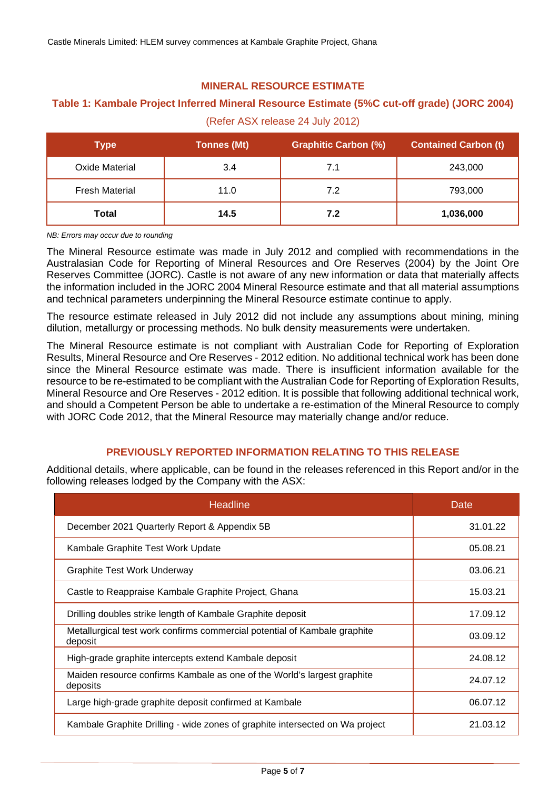# **MINERAL RESOURCE ESTIMATE**

# **Table 1: Kambale Project Inferred Mineral Resource Estimate (5%C cut-off grade) (JORC 2004)**

(Refer ASX release 24 July 2012)

| Type                  | <b>Tonnes (Mt)</b> | <b>Graphitic Carbon (%)</b> | <b>Contained Carbon (t)</b> |
|-----------------------|--------------------|-----------------------------|-----------------------------|
| Oxide Material        | 3.4                | 7.1                         | 243,000                     |
| <b>Fresh Material</b> | 11.0               | 7.2                         | 793,000                     |
| Total                 | 14.5               | 7.2                         | 1,036,000                   |

*NB: Errors may occur due to rounding*

The Mineral Resource estimate was made in July 2012 and complied with recommendations in the Australasian Code for Reporting of Mineral Resources and Ore Reserves (2004) by the Joint Ore Reserves Committee (JORC). Castle is not aware of any new information or data that materially affects the information included in the JORC 2004 Mineral Resource estimate and that all material assumptions and technical parameters underpinning the Mineral Resource estimate continue to apply.

The resource estimate released in July 2012 did not include any assumptions about mining, mining dilution, metallurgy or processing methods. No bulk density measurements were undertaken.

The Mineral Resource estimate is not compliant with Australian Code for Reporting of Exploration Results, Mineral Resource and Ore Reserves - 2012 edition. No additional technical work has been done since the Mineral Resource estimate was made. There is insufficient information available for the resource to be re-estimated to be compliant with the Australian Code for Reporting of Exploration Results, Mineral Resource and Ore Reserves - 2012 edition. It is possible that following additional technical work, and should a Competent Person be able to undertake a re-estimation of the Mineral Resource to comply with JORC Code 2012, that the Mineral Resource may materially change and/or reduce.

# **PREVIOUSLY REPORTED INFORMATION RELATING TO THIS RELEASE**

Additional details, where applicable, can be found in the releases referenced in this Report and/or in the following releases lodged by the Company with the ASX:

| <b>Headline</b>                                                                      | Date     |
|--------------------------------------------------------------------------------------|----------|
| December 2021 Quarterly Report & Appendix 5B                                         | 31.01.22 |
| Kambale Graphite Test Work Update                                                    | 05.08.21 |
| <b>Graphite Test Work Underway</b>                                                   | 03.06.21 |
| Castle to Reappraise Kambale Graphite Project, Ghana                                 | 15.03.21 |
| Drilling doubles strike length of Kambale Graphite deposit                           | 17.09.12 |
| Metallurgical test work confirms commercial potential of Kambale graphite<br>deposit | 03.09.12 |
| High-grade graphite intercepts extend Kambale deposit                                | 24.08.12 |
| Maiden resource confirms Kambale as one of the World's largest graphite<br>deposits  | 24.07.12 |
| Large high-grade graphite deposit confirmed at Kambale                               | 06.07.12 |
| Kambale Graphite Drilling - wide zones of graphite intersected on Wa project         | 21.03.12 |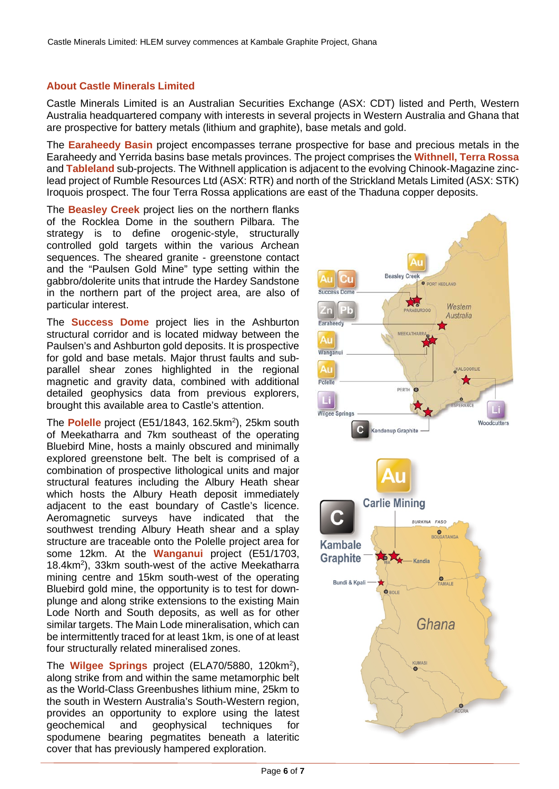# **About Castle Minerals Limited**

Castle Minerals Limited is an Australian Securities Exchange (ASX: CDT) listed and Perth, Western Australia headquartered company with interests in several projects in Western Australia and Ghana that are prospective for battery metals (lithium and graphite), base metals and gold.

The **Earaheedy Basin** project encompasses terrane prospective for base and precious metals in the Earaheedy and Yerrida basins base metals provinces. The project comprises the **Withnell, Terra Rossa** and **Tableland** sub-projects. The Withnell application is adjacent to the evolving Chinook-Magazine zinclead project of Rumble Resources Ltd (ASX: RTR) and north of the Strickland Metals Limited (ASX: STK) Iroquois prospect. The four Terra Rossa applications are east of the Thaduna copper deposits.

The **Beasley Creek** project lies on the northern flanks of the Rocklea Dome in the southern Pilbara. The strategy is to define orogenic-style, structurally controlled gold targets within the various Archean sequences. The sheared granite - greenstone contact and the "Paulsen Gold Mine" type setting within the gabbro/dolerite units that intrude the Hardey Sandstone in the northern part of the project area, are also of particular interest.

The **Success Dome** project lies in the Ashburton structural corridor and is located midway between the Paulsen's and Ashburton gold deposits. It is prospective for gold and base metals. Major thrust faults and subparallel shear zones highlighted in the regional magnetic and gravity data, combined with additional detailed geophysics data from previous explorers, brought this available area to Castle's attention.

The Polelle project (E51/1843, 162.5km<sup>2</sup>), 25km south of Meekatharra and 7km southeast of the operating Bluebird Mine, hosts a mainly obscured and minimally explored greenstone belt. The belt is comprised of a combination of prospective lithological units and major structural features including the Albury Heath shear which hosts the Albury Heath deposit immediately adjacent to the east boundary of Castle's licence. Aeromagnetic surveys have indicated that the southwest trending Albury Heath shear and a splay structure are traceable onto the Polelle project area for some 12km. At the **Wanganui** project (E51/1703, 18.4km2 ), 33km south-west of the active Meekatharra mining centre and 15km south-west of the operating Bluebird gold mine, the opportunity is to test for downplunge and along strike extensions to the existing Main Lode North and South deposits, as well as for other similar targets. The Main Lode mineralisation, which can be intermittently traced for at least 1km, is one of at least four structurally related mineralised zones.

The **Wilgee Springs** project (ELA70/5880, 120km2 ), along strike from and within the same metamorphic belt as the World-Class Greenbushes lithium mine, 25km to the south in Western Australia's South-Western region, provides an opportunity to explore using the latest geochemical and geophysical techniques for spodumene bearing pegmatites beneath a lateritic cover that has previously hampered exploration.